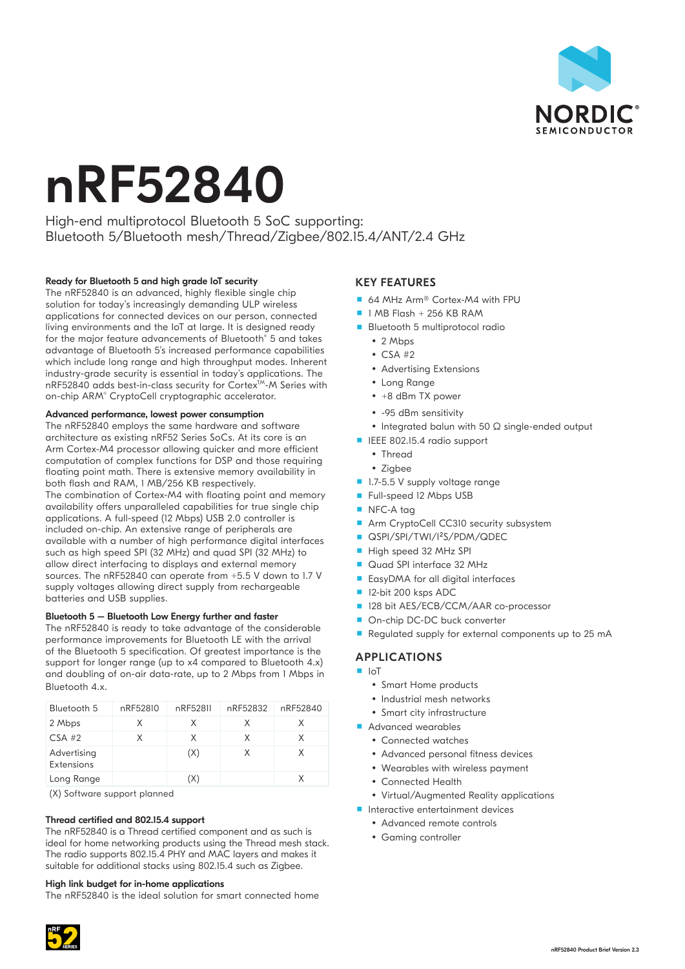

# nRF52840

High-end multiprotocol Bluetooth 5 SoC supporting: Bluetooth 5/Bluetooth mesh/Thread/Zigbee/802.15.4/ANT/2.4 GHz

## Ready for Bluetooth 5 and high grade IoT security

The nRF52840 is an advanced, highly flexible single chip solution for today's increasingly demanding ULP wireless applications for connected devices on our person, connected living environments and the IoT at large. It is designed ready for the major feature advancements of Bluetooth® 5 and takes advantage of Bluetooth 5's increased performance capabilities which include long range and high throughput modes. Inherent industry-grade security is essential in today's applications. The nRF52840 adds best-in-class security for Cortex™-M Series with on-chip ARM® CryptoCell cryptographic accelerator.

### Advanced performance, lowest power consumption

The nRF52840 employs the same hardware and software architecture as existing nRF52 Series SoCs. At its core is an Arm Cortex-M4 processor allowing quicker and more efficient computation of complex functions for DSP and those requiring floating point math. There is extensive memory availability in both flash and RAM, 1 MB/256 KB respectively. The combination of Cortex-M4 with floating point and memory availability offers unparalleled capabilities for true single chip applications. A full-speed (12 Mbps) USB 2.0 controller is included on-chip. An extensive range of peripherals are available with a number of high performance digital interfaces such as high speed SPI (32 MHz) and quad SPI (32 MHz) to allow direct interfacing to displays and external memory sources. The nRF52840 can operate from +5.5 V down to 1.7 V supply voltages allowing direct supply from rechargeable batteries and USB supplies.

#### Bluetooth 5 – Bluetooth Low Energy further and faster

The nRF52840 is ready to take advantage of the considerable performance improvements for Bluetooth LE with the arrival of the Bluetooth 5 specification. Of greatest importance is the support for longer range (up to x4 compared to Bluetooth 4.x) and doubling of on-air data-rate, up to 2 Mbps from 1 Mbps in Bluetooth 4.x.

| Bluetooth 5               | nRF52810 | nRF52811 | nRF52832 | nRF52840 |
|---------------------------|----------|----------|----------|----------|
| 2 Mbps                    | X        | X        | x        | x        |
| $CSA$ #2                  | x        | X        | X        | X        |
| Advertising<br>Extensions |          | (X)      | X        | X        |
| Long Range                |          | (X)      |          |          |

(X) Software support planned

#### Thread certified and 802.15.4 support

The nRF52840 is a Thread certified component and as such is ideal for home networking products using the Thread mesh stack. The radio supports 802.15.4 PHY and MAC layers and makes it suitable for additional stacks using 802.15.4 such as Zigbee.

#### High link budget for in-home applications

The nRF52840 is the ideal solution for smart connected home

## KEY FEATURES

- 64 MHz Arm<sup>®</sup> Cortex-M4 with FPU
- $\blacksquare$  1 MB Flash + 256 KB RAM
- **Bluetooth 5 multiprotocol radio** 
	- $\cdot$  2 Mbps
	- $\cdot$  CSA #2
	- Advertising Extensions
	- Long Range
	- $\cdot$  +8 dBm TX power
	- y -95 dBm sensitivity
	- Integrated balun with 50 Ω single-ended output
- **IEEE 802.15.4 radio support** 
	- Thread
	- Zigbee
- 1.7-5.5 V supply voltage range
- Full-speed 12 Mbps USB
- NFC-A tag
- Arm CryptoCell CC310 security subsystem
- **QSPI/SPI/TWI/I<sup>2</sup>S/PDM/QDEC**
- High speed 32 MHz SPI
- Quad SPI interface 32 MHz
- **EasyDMA** for all digital interfaces
- 12-bit 200 ksps ADC
- 128 bit AES/ECB/CCM/AAR co-processor
- On-chip DC-DC buck converter
- Regulated supply for external components up to 25 mA

## APPLICATIONS

- IoT
	- Smart Home products
	- Industrial mesh networks
	- Smart city infrastructure
- **Advanced wearables** 
	- Connected watches
	- Advanced personal fitness devices
	- Wearables with wireless payment
	- Connected Health
	- Virtual/Augmented Reality applications
- **Interactive entertainment devices** 
	- Advanced remote controls
	- Gaming controller